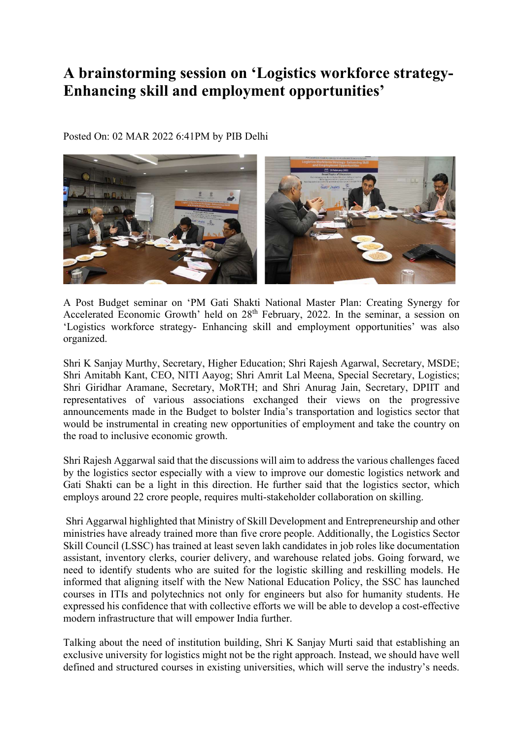## A brainstorming session on 'Logistics workforce strategy-Enhancing skill and employment opportunities'

Posted On: 02 MAR 2022 6:41PM by PIB Delhi



A Post Budget seminar on 'PM Gati Shakti National Master Plan: Creating Synergy for Accelerated Economic Growth' held on 28<sup>th</sup> February, 2022. In the seminar, a session on 'Logistics workforce strategy- Enhancing skill and employment opportunities' was also organized.

Shri K Sanjay Murthy, Secretary, Higher Education; Shri Rajesh Agarwal, Secretary, MSDE; Shri Amitabh Kant, CEO, NITI Aayog; Shri Amrit Lal Meena, Special Secretary, Logistics; Shri Giridhar Aramane, Secretary, MoRTH; and Shri Anurag Jain, Secretary, DPIIT and representatives of various associations exchanged their views on the progressive announcements made in the Budget to bolster India's transportation and logistics sector that would be instrumental in creating new opportunities of employment and take the country on the road to inclusive economic growth.

Shri Rajesh Aggarwal said that the discussions will aim to address the various challenges faced by the logistics sector especially with a view to improve our domestic logistics network and Gati Shakti can be a light in this direction. He further said that the logistics sector, which employs around 22 crore people, requires multi-stakeholder collaboration on skilling.

 Shri Aggarwal highlighted that Ministry of Skill Development and Entrepreneurship and other ministries have already trained more than five crore people. Additionally, the Logistics Sector Skill Council (LSSC) has trained at least seven lakh candidates in job roles like documentation assistant, inventory clerks, courier delivery, and warehouse related jobs. Going forward, we need to identify students who are suited for the logistic skilling and reskilling models. He informed that aligning itself with the New National Education Policy, the SSC has launched courses in ITIs and polytechnics not only for engineers but also for humanity students. He expressed his confidence that with collective efforts we will be able to develop a cost-effective modern infrastructure that will empower India further.

Talking about the need of institution building, Shri K Sanjay Murti said that establishing an exclusive university for logistics might not be the right approach. Instead, we should have well defined and structured courses in existing universities, which will serve the industry's needs.